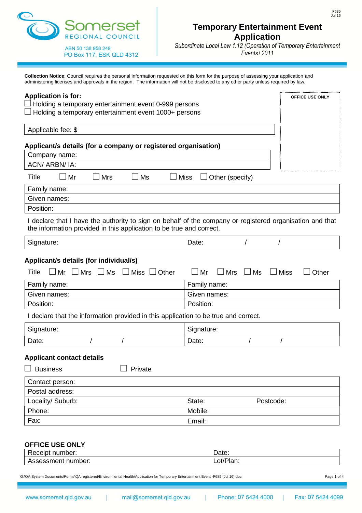

*Subordinate Local Law 1.12 (Operation of Temporary Entertainment Events) 2011*

**Collection Notice**: Council requires the personal information requested on this form for the purpose of assessing your application and administering licenses and approvals in the region. The information will not be disclosed to any other party unless required by law.

| <b>Application is for:</b><br>Holding a temporary entertainment event 0-999 persons<br>Holding a temporary entertainment event 1000+ persons                                                            |                                                                      |                          | OFFICE USE ONLY |
|---------------------------------------------------------------------------------------------------------------------------------------------------------------------------------------------------------|----------------------------------------------------------------------|--------------------------|-----------------|
| Applicable fee: \$                                                                                                                                                                                      |                                                                      |                          |                 |
| Applicant/s details (for a company or registered organisation)<br>Company name:<br>ACN/ ARBN/ IA:                                                                                                       |                                                                      |                          |                 |
| Title                                                                                                                                                                                                   |                                                                      |                          |                 |
| Mr<br><b>Mrs</b><br>Ms<br>Family name:                                                                                                                                                                  | <b>Miss</b><br>Other (specify)                                       |                          |                 |
| Given names:                                                                                                                                                                                            |                                                                      |                          |                 |
| Position:                                                                                                                                                                                               |                                                                      |                          |                 |
| I declare that I have the authority to sign on behalf of the company or registered organisation and that<br>the information provided in this application to be true and correct.                        |                                                                      |                          |                 |
| Signature:                                                                                                                                                                                              | Date:                                                                |                          |                 |
| $\Box$ Mr $\Box$ Mrs $\Box$ Ms<br>$\Box$ Miss $\Box$ Other<br>Title<br>Family name:<br>Given names:<br>Position:<br>I declare that the information provided in this application to be true and correct. | $\Box$ Mr<br>$\Box$ Mrs<br>Family name:<br>Given names:<br>Position: | $\Box$ Ms<br>$\Box$ Miss | Other           |
| Signature:                                                                                                                                                                                              | Signature:                                                           |                          |                 |
| Date:                                                                                                                                                                                                   | Date:                                                                |                          |                 |
| <b>Applicant contact details</b><br><b>Business</b><br>Private                                                                                                                                          |                                                                      |                          |                 |
| Contact person:                                                                                                                                                                                         |                                                                      |                          |                 |
| Postal address:                                                                                                                                                                                         |                                                                      |                          |                 |
| Locality/ Suburb:                                                                                                                                                                                       | State:<br>Mobile:                                                    | Postcode:                |                 |
| Phone:<br>Fax:                                                                                                                                                                                          | Email:                                                               |                          |                 |
| <b>OFFICE USE ONLY</b>                                                                                                                                                                                  |                                                                      |                          |                 |
| Receipt number:                                                                                                                                                                                         | Date:                                                                |                          |                 |
| Assessment number:                                                                                                                                                                                      | Lot/Plan:                                                            |                          |                 |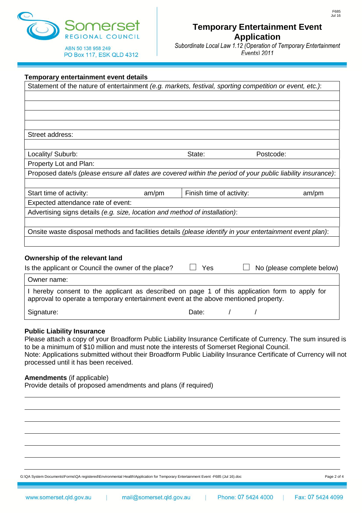

*Subordinate Local Law 1.12 (Operation of Temporary Entertainment Events) 2011*

| Temporary entertainment event details                                                                                                                                                  |       |                          |            |                            |
|----------------------------------------------------------------------------------------------------------------------------------------------------------------------------------------|-------|--------------------------|------------|----------------------------|
| Statement of the nature of entertainment (e.g. markets, festival, sporting competition or event, etc.):                                                                                |       |                          |            |                            |
|                                                                                                                                                                                        |       |                          |            |                            |
|                                                                                                                                                                                        |       |                          |            |                            |
|                                                                                                                                                                                        |       |                          |            |                            |
|                                                                                                                                                                                        |       |                          |            |                            |
| Street address:                                                                                                                                                                        |       |                          |            |                            |
|                                                                                                                                                                                        |       |                          |            |                            |
| Locality/ Suburb:                                                                                                                                                                      |       | State:                   | Postcode:  |                            |
| Property Lot and Plan:                                                                                                                                                                 |       |                          |            |                            |
| Proposed date/s (please ensure all dates are covered within the period of your public liability insurance):                                                                            |       |                          |            |                            |
|                                                                                                                                                                                        |       |                          |            |                            |
| Start time of activity:                                                                                                                                                                | am/pm | Finish time of activity: |            | am/pm                      |
| Expected attendance rate of event:                                                                                                                                                     |       |                          |            |                            |
| Advertising signs details (e.g. size, location and method of installation):                                                                                                            |       |                          |            |                            |
|                                                                                                                                                                                        |       |                          |            |                            |
| Onsite waste disposal methods and facilities details (please identify in your entertainment event plan):                                                                               |       |                          |            |                            |
|                                                                                                                                                                                        |       |                          |            |                            |
|                                                                                                                                                                                        |       |                          |            |                            |
| Ownership of the relevant land<br>Is the applicant or Council the owner of the place?                                                                                                  |       | Yes                      |            | No (please complete below) |
|                                                                                                                                                                                        |       |                          |            |                            |
| Owner name:                                                                                                                                                                            |       |                          |            |                            |
| I hereby consent to the applicant as described on page 1 of this application form to apply for<br>approval to operate a temporary entertainment event at the above mentioned property. |       |                          |            |                            |
| Signature:                                                                                                                                                                             |       | Date:                    | $\sqrt{2}$ |                            |
|                                                                                                                                                                                        |       |                          |            |                            |
| <b>Public Liability Insurance</b>                                                                                                                                                      |       |                          |            |                            |

Please attach a copy of your Broadform Public Liability Insurance Certificate of Currency. The sum insured is to be a minimum of \$10 million and must note the interests of Somerset Regional Council. Note: Applications submitted without their Broadform Public Liability Insurance Certificate of Currency will not processed until it has been received.

#### **Amendments** (if applicable)

Provide details of proposed amendments and plans (if required)

G:\QA System Documents\Forms\QA registered\Environmental Health\Application for Temporary Entertainment Event -F685 (Jul 16).doc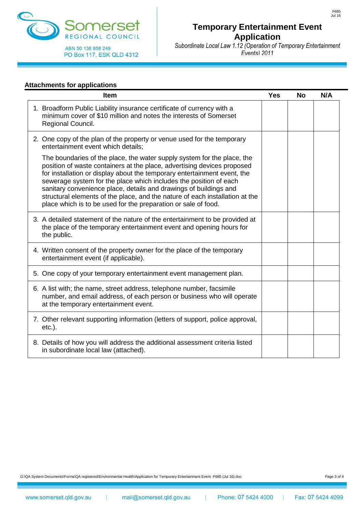

*Subordinate Local Law 1.12 (Operation of Temporary Entertainment Events) 2011*

#### **Attachments for applications**

| <b>Item</b>                                                                                                                                                                                                                                                                                                                                                                                                                                                                                                                | <b>Yes</b> | <b>No</b> | N/A |
|----------------------------------------------------------------------------------------------------------------------------------------------------------------------------------------------------------------------------------------------------------------------------------------------------------------------------------------------------------------------------------------------------------------------------------------------------------------------------------------------------------------------------|------------|-----------|-----|
| 1. Broadform Public Liability insurance certificate of currency with a<br>minimum cover of \$10 million and notes the interests of Somerset<br>Regional Council.                                                                                                                                                                                                                                                                                                                                                           |            |           |     |
| 2. One copy of the plan of the property or venue used for the temporary<br>entertainment event which details;                                                                                                                                                                                                                                                                                                                                                                                                              |            |           |     |
| The boundaries of the place, the water supply system for the place, the<br>position of waste containers at the place, advertising devices proposed<br>for installation or display about the temporary entertainment event, the<br>sewerage system for the place which includes the position of each<br>sanitary convenience place, details and drawings of buildings and<br>structural elements of the place, and the nature of each installation at the<br>place which is to be used for the preparation or sale of food. |            |           |     |
| 3. A detailed statement of the nature of the entertainment to be provided at<br>the place of the temporary entertainment event and opening hours for<br>the public.                                                                                                                                                                                                                                                                                                                                                        |            |           |     |
| 4. Written consent of the property owner for the place of the temporary<br>entertainment event (if applicable).                                                                                                                                                                                                                                                                                                                                                                                                            |            |           |     |
| 5. One copy of your temporary entertainment event management plan.                                                                                                                                                                                                                                                                                                                                                                                                                                                         |            |           |     |
| 6. A list with; the name, street address, telephone number, facsimile<br>number, and email address, of each person or business who will operate<br>at the temporary entertainment event.                                                                                                                                                                                                                                                                                                                                   |            |           |     |
| 7. Other relevant supporting information (letters of support, police approval,<br>$etc.$ ).                                                                                                                                                                                                                                                                                                                                                                                                                                |            |           |     |
| 8. Details of how you will address the additional assessment criteria listed<br>in subordinate local law (attached).                                                                                                                                                                                                                                                                                                                                                                                                       |            |           |     |

F685 Jul 16

G:\QA System Documents\Forms\QA registered\Environmental Health\Application for Temporary Entertainment Event -F685 (Jul 16).doc<br>
Rage 3 of 4